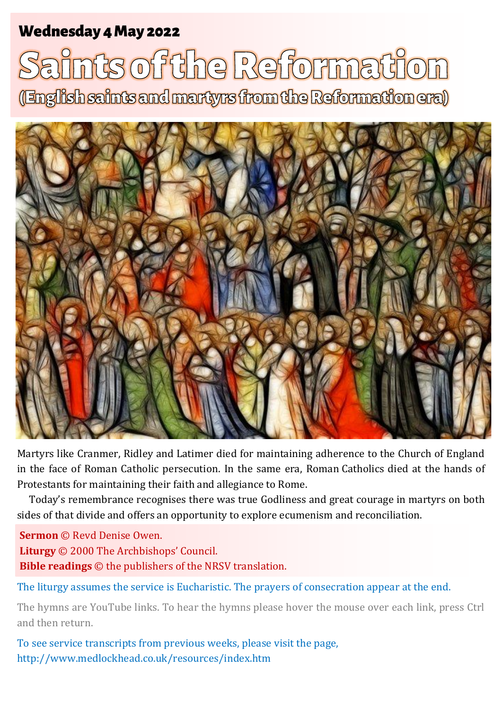## **Wednesday 4 May 2022**

# nts of the Reformation (English saints and martyrs from the Reformation era)



Martyrs like Cranmer, Ridley and Latimer died for maintaining adherence to the Church of England in the face of Roman Catholic persecution. In the same era, Roman Catholics died at the hands of Protestants for maintaining their faith and allegiance to Rome.

Today's remembrance recognises there was true Godliness and great courage in martyrs on both sides of that divide and offers an opportunity to explore ecumenism and reconciliation.

**Sermon** © Revd Denise Owen. **Liturgy** © 2000 The Archbishops' Council.

**Bible readings** © the publishers of the NRSV translation.

The liturgy assumes the service is Eucharistic. The prayers of consecration appear at the end.

The hymns are YouTube links. To hear the hymns please hover the mouse over each link, press Ctrl and then return.

To see service transcripts from previous weeks, please visit the page, <http://www.medlockhead.co.uk/resources/index.htm>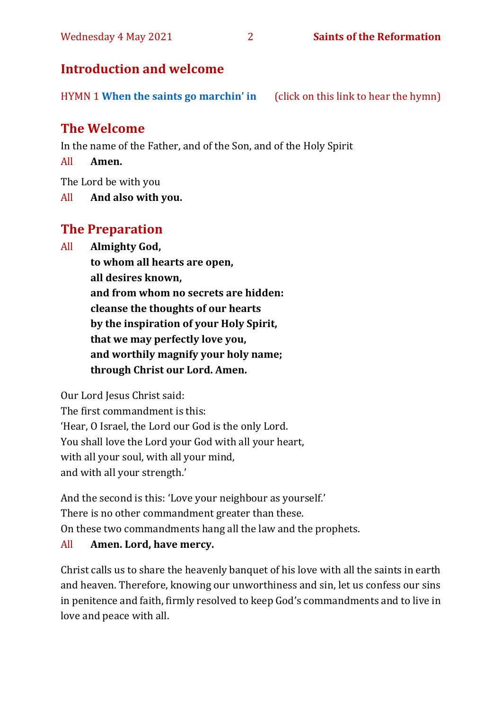#### Wednesday 4 May 2021 2 **Saints of the Reformation**

#### **Introduction and welcome**

HYMN 1 **[When the saints go marchin' in](https://www.youtube.com/watch?v=wyLjbMBpGDA)** (click on this link to hear the hymn)

## **The Welcome**

In the name of the Father, and of the Son, and of the Holy Spirit

All **Amen.**

The Lord be with you

All **And also with you.**

## **The Preparation**

All **Almighty God,**

**to whom all hearts are open, all desires known, and from whom no secrets are hidden: cleanse the thoughts of our hearts by the inspiration of your Holy Spirit, that we may perfectly love you, and worthily magnify your holy name; through Christ our Lord. Amen.**

Our Lord Jesus Christ said:

The first commandment is this: 'Hear, O Israel, the Lord our God is the only Lord. You shall love the Lord your God with all your heart, with all your soul, with all your mind, and with all your strength.'

And the second is this: 'Love your neighbour as yourself.' There is no other commandment greater than these. On these two commandments hang all the law and the prophets.

#### All **Amen. Lord, have mercy.**

Christ calls us to share the heavenly banquet of his love with all the saints in earth and heaven. Therefore, knowing our unworthiness and sin, let us confess our sins in penitence and faith, firmly resolved to keep God's commandments and to live in love and peace with all.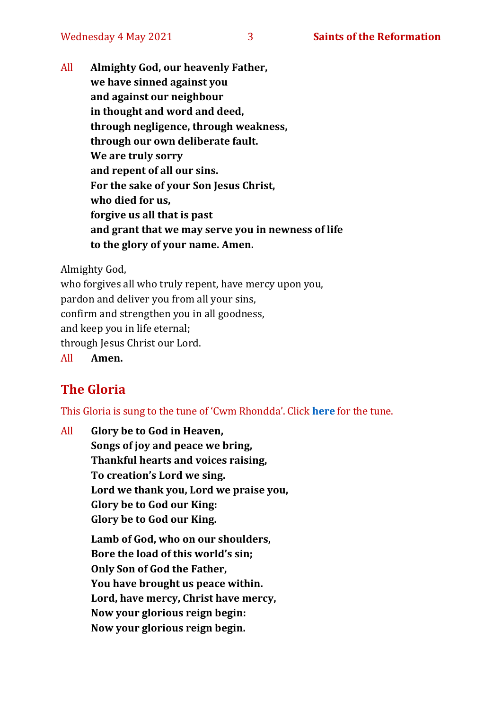All **Almighty God, our heavenly Father, we have sinned against you and against our neighbour in thought and word and deed, through negligence, through weakness, through our own deliberate fault. We are truly sorry and repent of all our sins. For the sake of your Son Jesus Christ, who died for us, forgive us all that is past and grant that we may serve you in newness of life to the glory of your name. Amen.**

Almighty God,

who forgives all who truly repent, have mercy upon you, pardon and deliver you from all your sins, confirm and strengthen you in all goodness, and keep you in life eternal; through Jesus Christ our Lord. All **Amen.**

## **The Gloria**

This Gloria is sung to the tune of 'Cwm Rhondda'. Click **[here](https://www.youtube.com/watch?v=l71MLQ22dIk)** for the tune.

All **Glory be to God in Heaven, Songs of joy and peace we bring, Thankful hearts and voices raising, To creation's Lord we sing. Lord we thank you, Lord we praise you, Glory be to God our King: Glory be to God our King. Lamb of God, who on our shoulders, Bore the load of this world's sin; Only Son of God the Father, You have brought us peace within. Lord, have mercy, Christ have mercy, Now your glorious reign begin: Now your glorious reign begin.**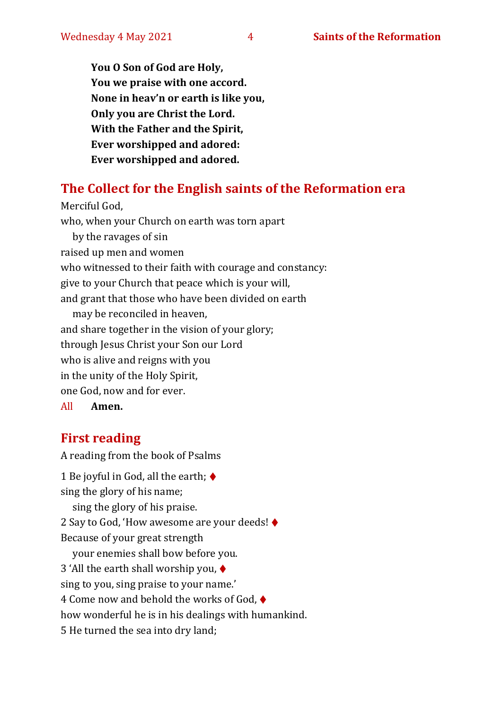**You O Son of God are Holy, You we praise with one accord. None in heav'n or earth is like you, Only you are Christ the Lord. With the Father and the Spirit, Ever worshipped and adored: Ever worshipped and adored.**

## **The Collect for the English saints of the Reformation era**

Merciful God, who, when your Church on earth was torn apart by the ravages of sin raised up men and women who witnessed to their faith with courage and constancy: give to your Church that peace which is your will, and grant that those who have been divided on earth may be reconciled in heaven, and share together in the vision of your glory; through Jesus Christ your Son our Lord who is alive and reigns with you in the unity of the Holy Spirit, one God, now and for ever. All **Amen.**

## **First reading**

A reading from the book of Psalms

1 Be joyful in God, all the earth;  $\blacklozenge$ sing the glory of his name; sing the glory of his praise. 2 Say to God, 'How awesome are your deeds! ♦ Because of your great strength your enemies shall bow before you. 3 'All the earth shall worship you, ♦ sing to you, sing praise to your name.' 4 Come now and behold the works of God, ♦ how wonderful he is in his dealings with humankind. 5 He turned the sea into dry land;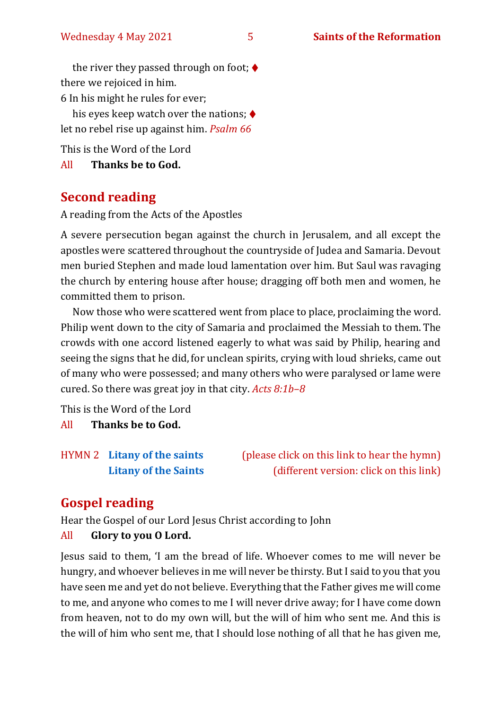the river they passed through on foot;  $\blacklozenge$ there we rejoiced in him. 6 In his might he rules for ever;

his eyes keep watch over the nations;  $\blacklozenge$ let no rebel rise up against him. *Psalm 66*

This is the Word of the Lord

All **Thanks be to God.**

## **Second reading**

A reading from the Acts of the Apostles

A severe persecution began against the church in Jerusalem, and all except the apostles were scattered throughout the countryside of Judea and Samaria. Devout men buried Stephen and made loud lamentation over him. But Saul was ravaging the church by entering house after house; dragging off both men and women, he committed them to prison.

Now those who were scattered went from place to place, proclaiming the word. Philip went down to the city of Samaria and proclaimed the Messiah to them. The crowds with one accord listened eagerly to what was said by Philip, hearing and seeing the signs that he did, for unclean spirits, crying with loud shrieks, came out of many who were possessed; and many others who were paralysed or lame were cured. So there was great joy in that city. *Acts 8:1b–8*

This is the Word of the Lord

All **Thanks be to God.**

HYMN 2 **[Litany of the saints](https://www.youtube.com/watch?v=zer3KCCHSUI)** (please click on this link to hear the hymn) **[Litany of the Saints](https://www.youtube.com/watch?v=7Xh8oXmynvQ)** (different version: click on this link)

## **Gospel reading**

Hear the Gospel of our Lord Jesus Christ according to John All **Glory to you O Lord.**

Jesus said to them, 'I am the bread of life. Whoever comes to me will never be hungry, and whoever believes in me will never be thirsty. But I said to you that you have seen me and yet do not believe. Everything that the Father gives me will come to me, and anyone who comes to me I will never drive away; for I have come down from heaven, not to do my own will, but the will of him who sent me. And this is the will of him who sent me, that I should lose nothing of all that he has given me,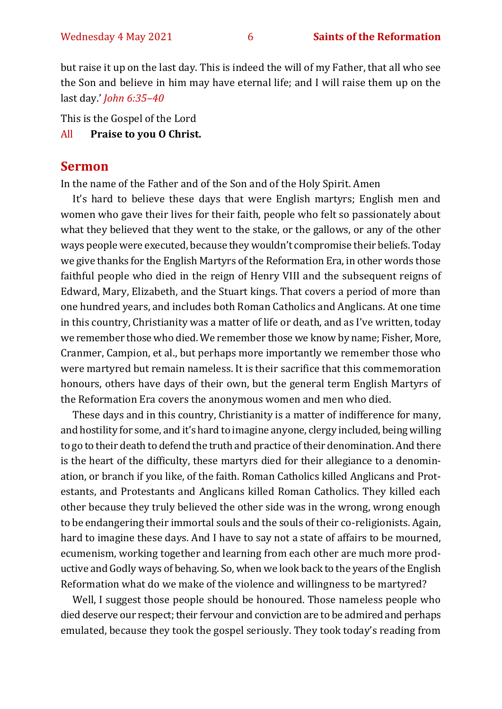but raise it up on the last day. This is indeed the will of my Father, that all who see the Son and believe in him may have eternal life; and I will raise them up on the last day.' *John 6:35–40*

This is the Gospel of the Lord All **Praise to you O Christ.** 

#### **Sermon**

In the name of the Father and of the Son and of the Holy Spirit. Amen

It's hard to believe these days that were English martyrs; English men and women who gave their lives for their faith, people who felt so passionately about what they believed that they went to the stake, or the gallows, or any of the other ways people were executed, because they wouldn't compromise their beliefs. Today we give thanks for the English Martyrs of the Reformation Era, in other words those faithful people who died in the reign of Henry VIII and the subsequent reigns of Edward, Mary, Elizabeth, and the Stuart kings. That covers a period of more than one hundred years, and includes both Roman Catholics and Anglicans. At one time in this country, Christianity was a matter of life or death, and as I've written, today we remember those who died. We remember those we know by name; Fisher, More, Cranmer, Campion, et al., but perhaps more importantly we remember those who were martyred but remain nameless. It is their sacrifice that this commemoration honours, others have days of their own, but the general term English Martyrs of the Reformation Era covers the anonymous women and men who died.

These days and in this country, Christianity is a matter of indifference for many, and hostility for some, and it's hard to imagine anyone, clergy included, being willing to go to their death to defend the truth and practice of their denomination. And there is the heart of the difficulty, these martyrs died for their allegiance to a denomination, or branch if you like, of the faith. Roman Catholics killed Anglicans and Protestants, and Protestants and Anglicans killed Roman Catholics. They killed each other because they truly believed the other side was in the wrong, wrong enough to be endangering their immortal souls and the souls of their co-religionists. Again, hard to imagine these days. And I have to say not a state of affairs to be mourned, ecumenism, working together and learning from each other are much more productive and Godly ways of behaving. So, when we look back to the years of the English Reformation what do we make of the violence and willingness to be martyred?

Well, I suggest those people should be honoured. Those nameless people who died deserve our respect; their fervour and conviction are to be admired and perhaps emulated, because they took the gospel seriously. They took today's reading from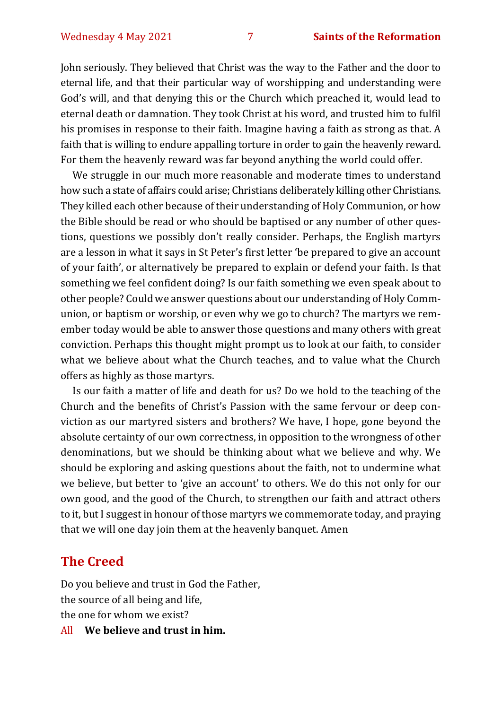John seriously. They believed that Christ was the way to the Father and the door to eternal life, and that their particular way of worshipping and understanding were God's will, and that denying this or the Church which preached it, would lead to eternal death or damnation. They took Christ at his word, and trusted him to fulfil his promises in response to their faith. Imagine having a faith as strong as that. A faith that is willing to endure appalling torture in order to gain the heavenly reward. For them the heavenly reward was far beyond anything the world could offer.

We struggle in our much more reasonable and moderate times to understand how such a state of affairs could arise; Christians deliberately killing other Christians. They killed each other because of their understanding of Holy Communion, or how the Bible should be read or who should be baptised or any number of other questions, questions we possibly don't really consider. Perhaps, the English martyrs are a lesson in what it says in St Peter's first letter 'be prepared to give an account of your faith', or alternatively be prepared to explain or defend your faith. Is that something we feel confident doing? Is our faith something we even speak about to other people? Could we answer questions about our understanding of Holy Communion, or baptism or worship, or even why we go to church? The martyrs we remember today would be able to answer those questions and many others with great conviction. Perhaps this thought might prompt us to look at our faith, to consider what we believe about what the Church teaches, and to value what the Church offers as highly as those martyrs.

Is our faith a matter of life and death for us? Do we hold to the teaching of the Church and the benefits of Christ's Passion with the same fervour or deep conviction as our martyred sisters and brothers? We have, I hope, gone beyond the absolute certainty of our own correctness, in opposition to the wrongness of other denominations, but we should be thinking about what we believe and why. We should be exploring and asking questions about the faith, not to undermine what we believe, but better to 'give an account' to others. We do this not only for our own good, and the good of the Church, to strengthen our faith and attract others to it, but I suggest in honour of those martyrs we commemorate today, and praying that we will one day join them at the heavenly banquet. Amen

## **The Creed**

Do you believe and trust in God the Father, the source of all being and life, the one for whom we exist?

All **We believe and trust in him.**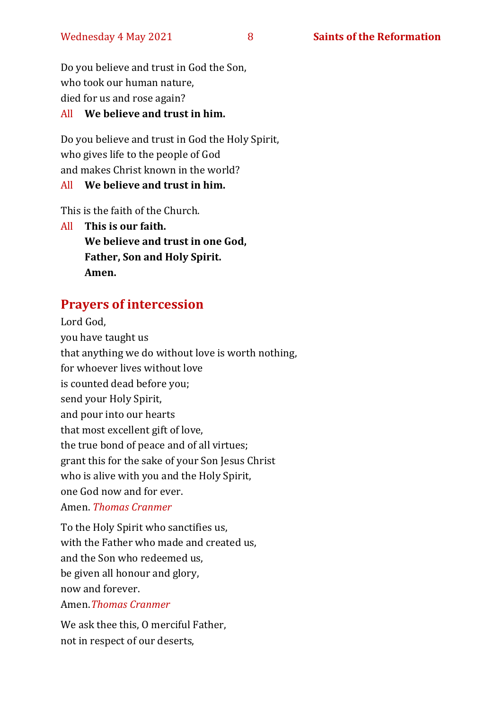Do you believe and trust in God the Son, who took our human nature, died for us and rose again?

#### All **We believe and trust in him.**

Do you believe and trust in God the Holy Spirit, who gives life to the people of God and makes Christ known in the world?

#### All **We believe and trust in him.**

This is the faith of the Church.

All **This is our faith. We believe and trust in one God, Father, Son and Holy Spirit. Amen.**

## **Prayers of intercession**

Lord God, you have taught us that anything we do without love is worth nothing, for whoever lives without love is counted dead before you; send your Holy Spirit, and pour into our hearts that most excellent gift of love, the true bond of peace and of all virtues; grant this for the sake of your Son Jesus Christ who is alive with you and the Holy Spirit, one God now and for ever.

#### Amen. *Thomas Cranmer*

To the Holy Spirit who sanctifies us, with the Father who made and created us, and the Son who redeemed us, be given all honour and glory, now and forever. Amen.*Thomas Cranmer*

We ask thee this, O merciful Father, not in respect of our deserts,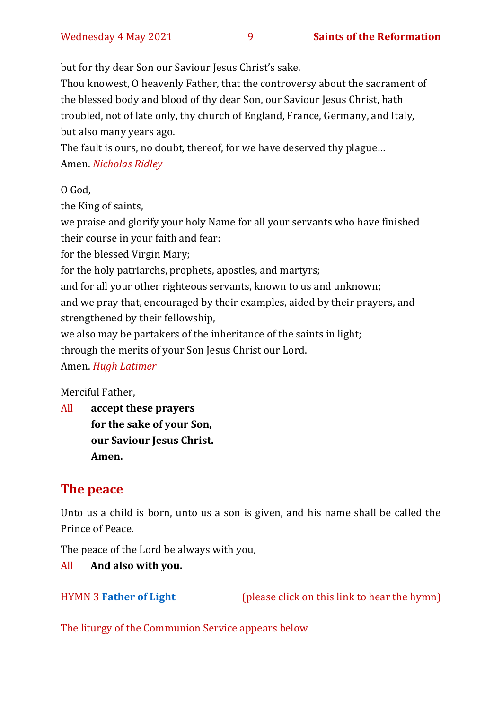but for thy dear Son our Saviour Jesus Christ's sake.

Thou knowest, O heavenly Father, that the controversy about the sacrament of the blessed body and blood of thy dear Son, our Saviour Jesus Christ, hath troubled, not of late only, thy church of England, France, Germany, and Italy, but also many years ago.

The fault is ours, no doubt, thereof, for we have deserved thy plague… Amen. *Nicholas Ridley* 

O God,

the King of saints,

we praise and glorify your holy Name for all your servants who have finished their course in your faith and fear:

for the blessed Virgin Mary;

for the holy patriarchs, prophets, apostles, and martyrs;

and for all your other righteous servants, known to us and unknown;

and we pray that, encouraged by their examples, aided by their prayers, and strengthened by their fellowship,

we also may be partakers of the inheritance of the saints in light;

through the merits of your Son Jesus Christ our Lord.

Amen. *Hugh Latimer*

Merciful Father,

All **accept these prayers for the sake of your Son, our Saviour Jesus Christ. Amen.**

## **The peace**

Unto us a child is born, unto us a son is given, and his name shall be called the Prince of Peace.

The peace of the Lord be always with you,

All **And also with you.**

HYMN 3 **[Father of Light](https://www.youtube.com/watch?v=r7g0IMTUWHs)** (please click on this link to hear the hymn)

The liturgy of the Communion Service appears below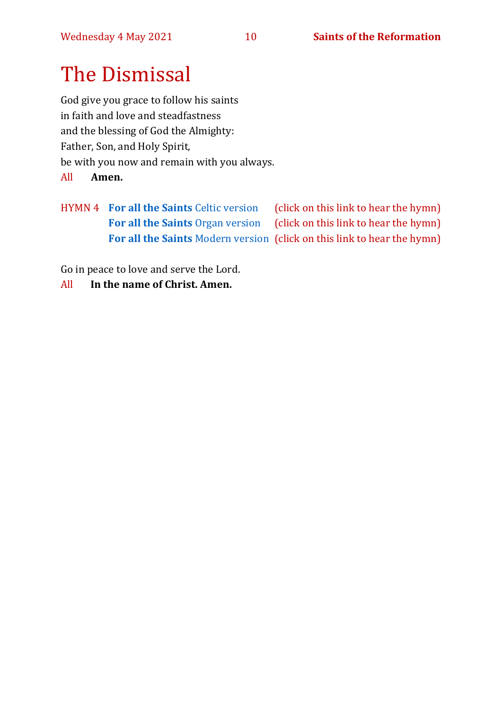## The Dismissal

God give you grace to follow his saints in faith and love and steadfastness and the blessing of God the Almighty: Father, Son, and Holy Spirit, be with you now and remain with you always.

All **Amen.**

HYMN 4 **[For all the Saints](https://www.youtube.com/watch?v=BCVr6u6xizs)** Celtic version (click on this link to hear the hymn) [For all the Saints](https://www.youtube.com/watch?v=WbPshOGxpew) Organ version (click on this link to hear the hymn) **[For all the Saints](https://www.youtube.com/watch?v=hNlWmu4dnCk&t=2s)** Modern version (click on this link to hear the hymn)

Go in peace to love and serve the Lord.

All **In the name of Christ. Amen.**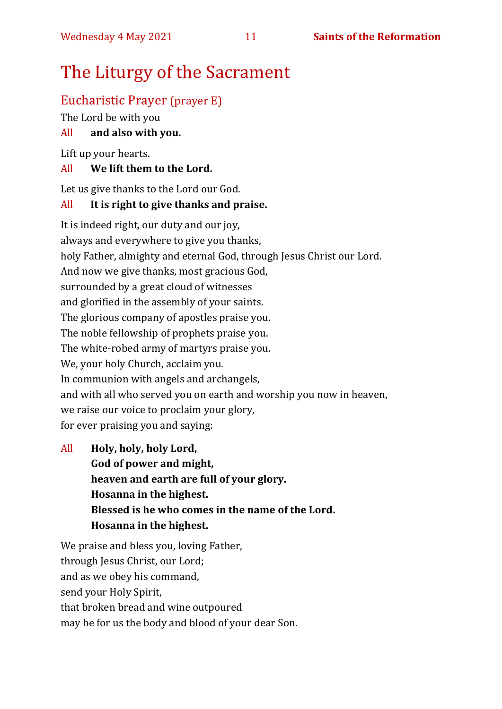## The Liturgy of the Sacrament

## Eucharistic Prayer (prayer E)

The Lord be with you

#### All **and also with you.**

Lift up your hearts.

#### All **We lift them to the Lord.**

Let us give thanks to the Lord our God.

#### All **It is right to give thanks and praise.**

It is indeed right, our duty and our joy, always and everywhere to give you thanks, holy Father, almighty and eternal God, through Jesus Christ our Lord. And now we give thanks, most gracious God, surrounded by a great cloud of witnesses and glorified in the assembly of your saints. The glorious company of apostles praise you. The noble fellowship of prophets praise you. The white-robed army of martyrs praise you. We, your holy Church, acclaim you. In communion with angels and archangels, and with all who served you on earth and worship you now in heaven, we raise our voice to proclaim your glory, for ever praising you and saying:

All **Holy, holy, holy Lord, God of power and might, heaven and earth are full of your glory. Hosanna in the highest. Blessed is he who comes in the name of the Lord. Hosanna in the highest.**

We praise and bless you, loving Father, through Jesus Christ, our Lord; and as we obey his command, send your Holy Spirit, that broken bread and wine outpoured may be for us the body and blood of your dear Son.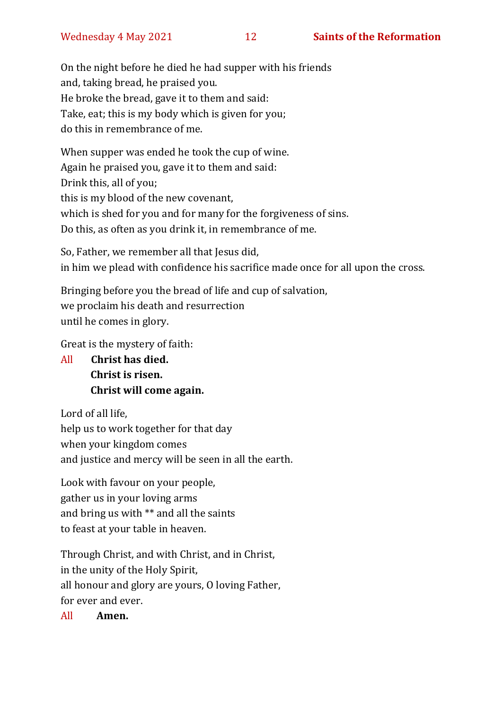On the night before he died he had supper with his friends and, taking bread, he praised you. He broke the bread, gave it to them and said: Take, eat; this is my body which is given for you; do this in remembrance of me.

When supper was ended he took the cup of wine. Again he praised you, gave it to them and said: Drink this, all of you; this is my blood of the new covenant, which is shed for you and for many for the forgiveness of sins. Do this, as often as you drink it, in remembrance of me.

So, Father, we remember all that Jesus did, in him we plead with confidence his sacrifice made once for all upon the cross.

Bringing before you the bread of life and cup of salvation, we proclaim his death and resurrection until he comes in glory.

Great is the mystery of faith:

All **Christ has died. Christ is risen. Christ will come again.**

Lord of all life, help us to work together for that day when your kingdom comes and justice and mercy will be seen in all the earth.

Look with favour on your people, gather us in your loving arms and bring us with \*\* and all the saints to feast at your table in heaven.

Through Christ, and with Christ, and in Christ, in the unity of the Holy Spirit, all honour and glory are yours, O loving Father, for ever and ever.

All **Amen.**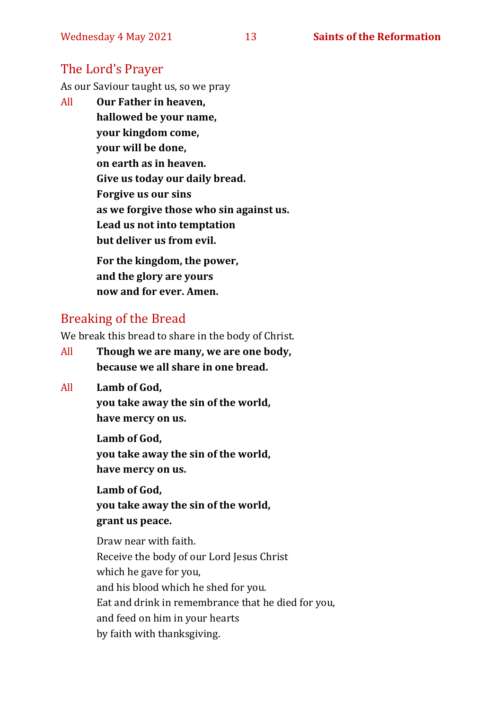#### The Lord's Prayer

As our Saviour taught us, so we pray

All **Our Father in heaven, hallowed be your name, your kingdom come, your will be done, on earth as in heaven. Give us today our daily bread. Forgive us our sins as we forgive those who sin against us. Lead us not into temptation but deliver us from evil. For the kingdom, the power,** 

**and the glory are yours now and for ever. Amen.**

#### Breaking of the Bread

We break this bread to share in the body of Christ.

- All **Though we are many, we are one body, because we all share in one bread.**
- All **Lamb of God,**

**you take away the sin of the world, have mercy on us.**

**Lamb of God, you take away the sin of the world, have mercy on us.**

**Lamb of God, you take away the sin of the world, grant us peace.**

Draw near with faith. Receive the body of our Lord Jesus Christ which he gave for you, and his blood which he shed for you. Eat and drink in remembrance that he died for you, and feed on him in your hearts by faith with thanksgiving.